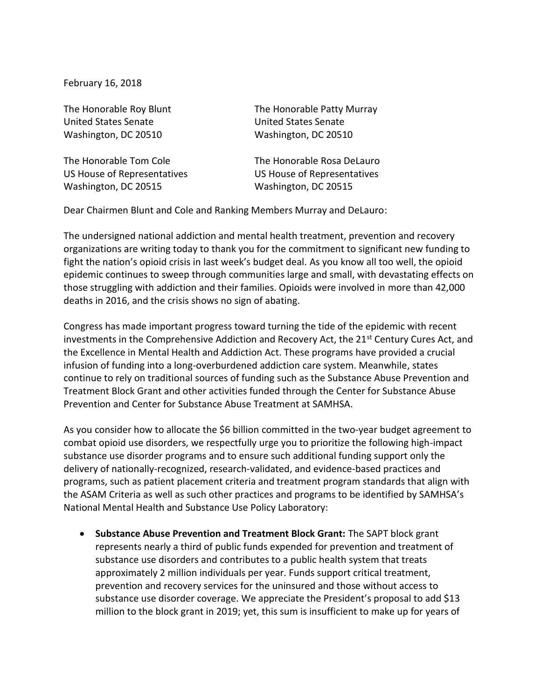February 16, 2018

United States Senate United States Senate Washington, DC 20510 Washington, DC 20510

Washington, DC 20515 Washington, DC 20515

The Honorable Roy Blunt The Honorable Patty Murray

The Honorable Tom Cole The Honorable Rosa DeLauro US House of Representatives US House of Representatives

Dear Chairmen Blunt and Cole and Ranking Members Murray and DeLauro:

The undersigned national addiction and mental health treatment, prevention and recovery organizations are writing today to thank you for the commitment to significant new funding to fight the nation's opioid crisis in last week's budget deal. As you know all too well, the opioid epidemic continues to sweep through communities large and small, with devastating effects on those struggling with addiction and their families. Opioids were involved in more than 42,000 deaths in 2016, and the crisis shows no sign of abating.

Congress has made important progress toward turning the tide of the epidemic with recent investments in the Comprehensive Addiction and Recovery Act, the 21<sup>st</sup> Century Cures Act, and the Excellence in Mental Health and Addiction Act. These programs have provided a crucial infusion of funding into a long-overburdened addiction care system. Meanwhile, states continue to rely on traditional sources of funding such as the Substance Abuse Prevention and Treatment Block Grant and other activities funded through the Center for Substance Abuse Prevention and Center for Substance Abuse Treatment at SAMHSA.

As you consider how to allocate the \$6 billion committed in the two-year budget agreement to combat opioid use disorders, we respectfully urge you to prioritize the following high-impact substance use disorder programs and to ensure such additional funding support only the delivery of nationally-recognized, research-validated, and evidence-based practices and programs, such as patient placement criteria and treatment program standards that align with the ASAM Criteria as well as such other practices and programs to be identified by SAMHSA's National Mental Health and Substance Use Policy Laboratory:

• **Substance Abuse Prevention and Treatment Block Grant:** The SAPT block grant represents nearly a third of public funds expended for prevention and treatment of substance use disorders and contributes to a public health system that treats approximately 2 million individuals per year. Funds support critical treatment, prevention and recovery services for the uninsured and those without access to substance use disorder coverage. We appreciate the President's proposal to add \$13 million to the block grant in 2019; yet, this sum is insufficient to make up for years of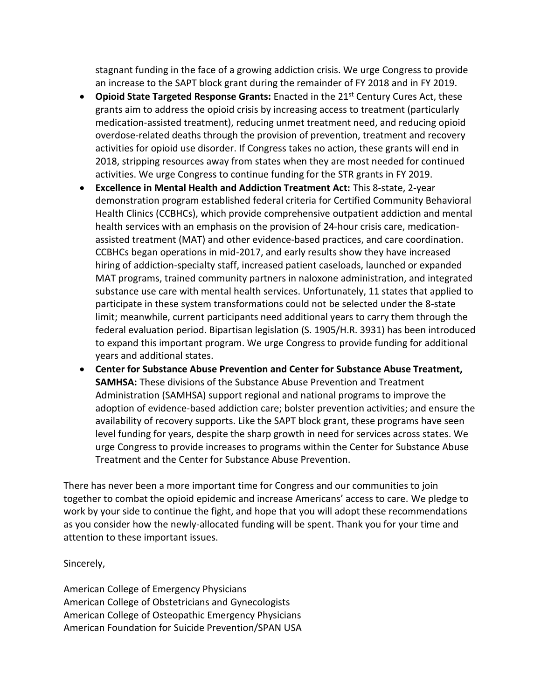stagnant funding in the face of a growing addiction crisis. We urge Congress to provide an increase to the SAPT block grant during the remainder of FY 2018 and in FY 2019.

- Opioid State Targeted Response Grants: Enacted in the 21<sup>st</sup> Century Cures Act, these grants aim to address the opioid crisis by increasing access to treatment (particularly medication-assisted treatment), reducing unmet treatment need, and reducing opioid overdose-related deaths through the provision of prevention, treatment and recovery activities for opioid use disorder. If Congress takes no action, these grants will end in 2018, stripping resources away from states when they are most needed for continued activities. We urge Congress to continue funding for the STR grants in FY 2019.
- **Excellence in Mental Health and Addiction Treatment Act:** This 8-state, 2-year demonstration program established federal criteria for Certified Community Behavioral Health Clinics (CCBHCs), which provide comprehensive outpatient addiction and mental health services with an emphasis on the provision of 24-hour crisis care, medicationassisted treatment (MAT) and other evidence-based practices, and care coordination. CCBHCs began operations in mid-2017, and early results show they have increased hiring of addiction-specialty staff, increased patient caseloads, launched or expanded MAT programs, trained community partners in naloxone administration, and integrated substance use care with mental health services. Unfortunately, 11 states that applied to participate in these system transformations could not be selected under the 8-state limit; meanwhile, current participants need additional years to carry them through the federal evaluation period. Bipartisan legislation (S. 1905/H.R. 3931) has been introduced to expand this important program. We urge Congress to provide funding for additional years and additional states.
- **Center for Substance Abuse Prevention and Center for Substance Abuse Treatment, SAMHSA:** These divisions of the Substance Abuse Prevention and Treatment Administration (SAMHSA) support regional and national programs to improve the adoption of evidence-based addiction care; bolster prevention activities; and ensure the availability of recovery supports. Like the SAPT block grant, these programs have seen level funding for years, despite the sharp growth in need for services across states. We urge Congress to provide increases to programs within the Center for Substance Abuse Treatment and the Center for Substance Abuse Prevention.

There has never been a more important time for Congress and our communities to join together to combat the opioid epidemic and increase Americans' access to care. We pledge to work by your side to continue the fight, and hope that you will adopt these recommendations as you consider how the newly-allocated funding will be spent. Thank you for your time and attention to these important issues.

## Sincerely,

American College of Emergency Physicians American College of Obstetricians and Gynecologists American College of Osteopathic Emergency Physicians American Foundation for Suicide Prevention/SPAN USA